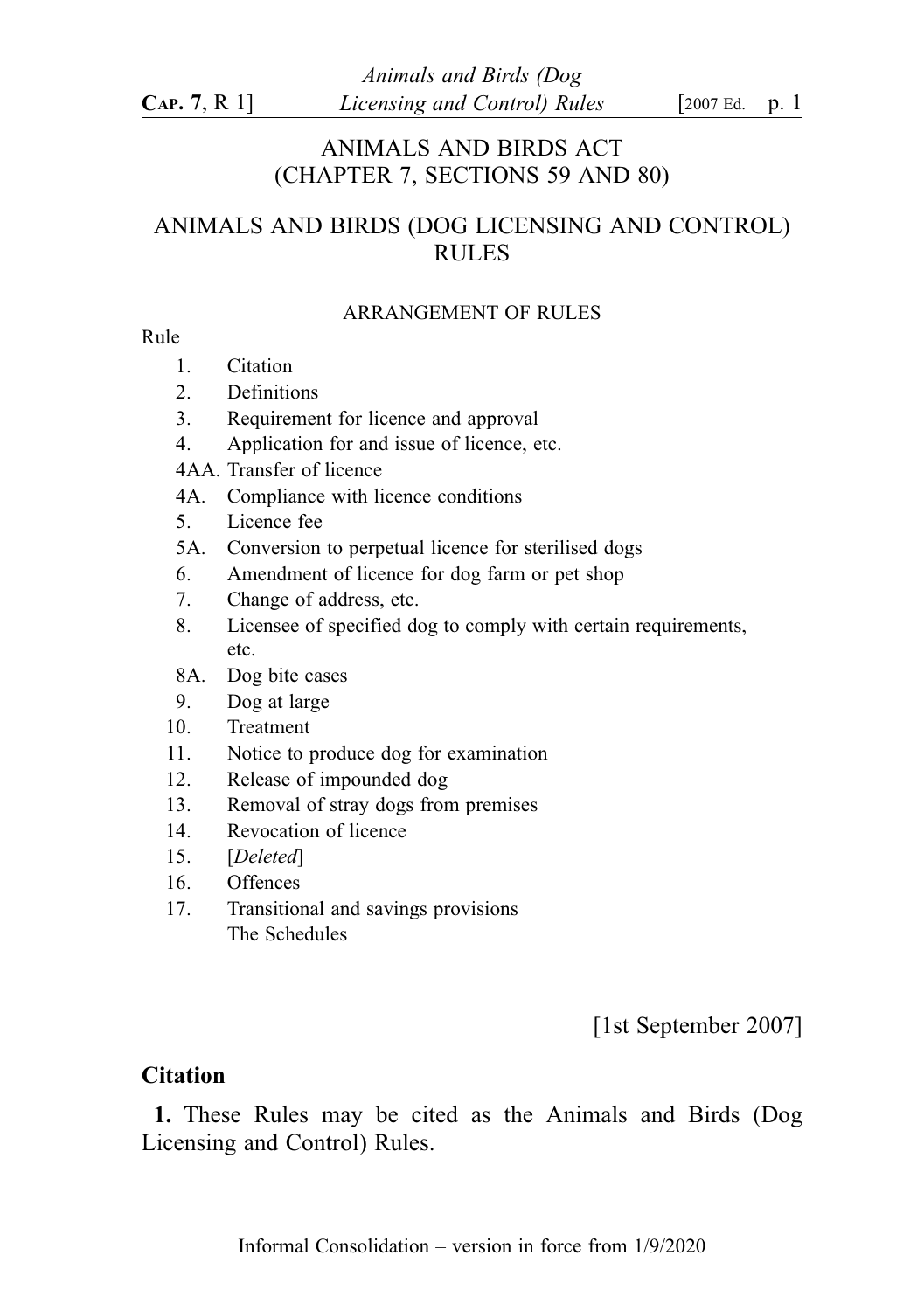## ANIMALS AND BIRDS ACT (CHAPTER 7, SECTIONS 59 AND 80)

# ANIMALS AND BIRDS (DOG LICENSING AND CONTROL) RULES

#### ARRANGEMENT OF RULES

#### Rule

- 1. Citation
- 2. Definitions
- 3. Requirement for licence and approval
- 4. Application for and issue of licence, etc.
- 4AA. Transfer of licence
- 4A. Compliance with licence conditions
- 5. Licence fee
- 5A. Conversion to perpetual licence for sterilised dogs
- 6. Amendment of licence for dog farm or pet shop
- 7. Change of address, etc.
- 8. Licensee of specified dog to comply with certain requirements, etc.
- 8A. Dog bite cases
- 9. Dog at large
- 10. Treatment
- 11. Notice to produce dog for examination
- 12. Release of impounded dog
- 13. Removal of stray dogs from premises
- 14. Revocation of licence
- 15. [Deleted]
- 16. Offences
- 17. Transitional and savings provisions The Schedules

[1st September 2007]

## **Citation**

1. These Rules may be cited as the Animals and Birds (Dog Licensing and Control) Rules.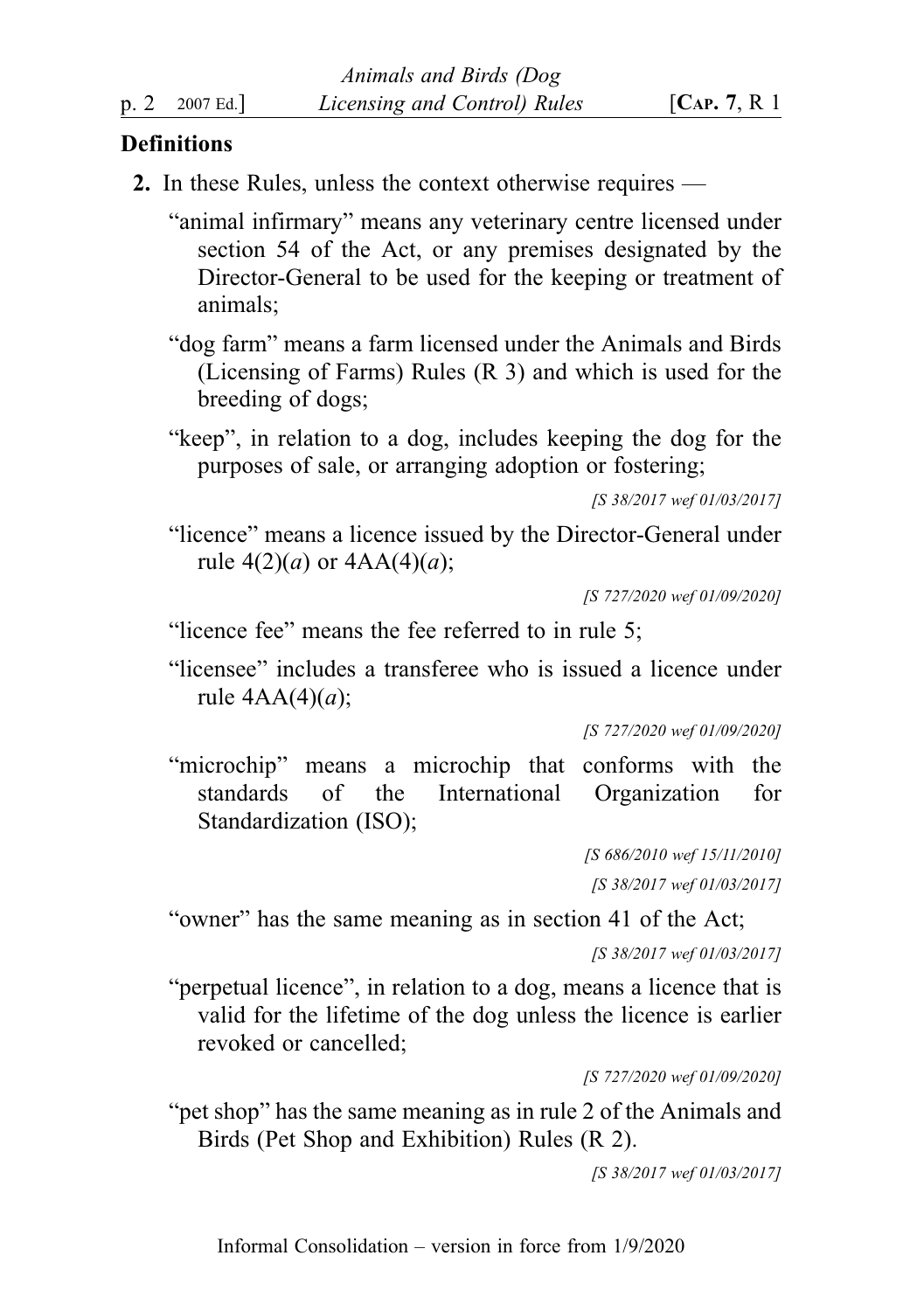### **Definitions**

2. In these Rules, unless the context otherwise requires —

"animal infirmary" means any veterinary centre licensed under section 54 of the Act, or any premises designated by the Director-General to be used for the keeping or treatment of animals;

- "dog farm" means a farm licensed under the Animals and Birds (Licensing of Farms) Rules (R 3) and which is used for the breeding of dogs;
- "keep", in relation to a dog, includes keeping the dog for the purposes of sale, or arranging adoption or fostering;

```
[S 38/2017 wef 01/03/2017]
```
"licence" means a licence issued by the Director-General under rule  $4(2)(a)$  or  $4AA(4)(a)$ ;

[S 727/2020 wef 01/09/2020]

"licence fee" means the fee referred to in rule 5;

"licensee" includes a transferee who is issued a licence under rule  $4AA(4)(a)$ ;

[S 727/2020 wef 01/09/2020]

"microchip" means a microchip that conforms with the standards of the International Organization for Standardization (ISO);

> [S 686/2010 wef 15/11/2010] [S 38/2017 wef 01/03/2017]

"owner" has the same meaning as in section 41 of the Act;

[S 38/2017 wef 01/03/2017]

"perpetual licence", in relation to a dog, means a licence that is valid for the lifetime of the dog unless the licence is earlier revoked or cancelled;

[S 727/2020 wef 01/09/2020]

"pet shop" has the same meaning as in rule 2 of the Animals and Birds (Pet Shop and Exhibition) Rules (R 2).

[S 38/2017 wef 01/03/2017]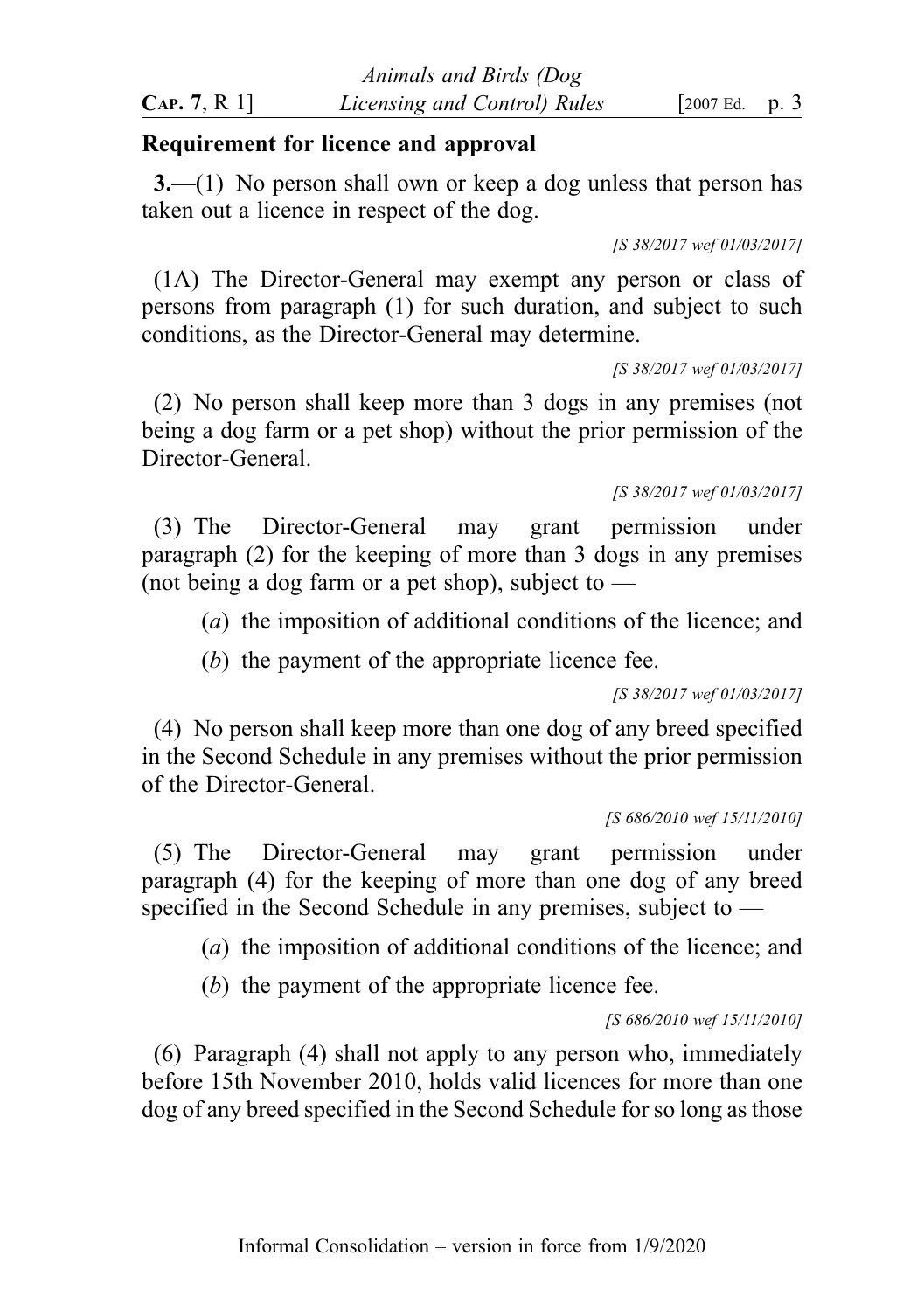### Requirement for licence and approval

3.—(1) No person shall own or keep a dog unless that person has taken out a licence in respect of the dog.

[S 38/2017 wef 01/03/2017]

(1A) The Director-General may exempt any person or class of persons from paragraph (1) for such duration, and subject to such conditions, as the Director-General may determine.

[S 38/2017 wef 01/03/2017]

(2) No person shall keep more than 3 dogs in any premises (not being a dog farm or a pet shop) without the prior permission of the Director-General.

#### [S 38/2017 wef 01/03/2017]

(3) The Director-General may grant permission under paragraph (2) for the keeping of more than 3 dogs in any premises (not being a dog farm or a pet shop), subject to  $-$ 

(a) the imposition of additional conditions of the licence; and

(b) the payment of the appropriate licence fee.

[S 38/2017 wef 01/03/2017]

(4) No person shall keep more than one dog of any breed specified in the Second Schedule in any premises without the prior permission of the Director-General.

#### [S 686/2010 wef 15/11/2010]

(5) The Director-General may grant permission under paragraph (4) for the keeping of more than one dog of any breed specified in the Second Schedule in any premises, subject to —

(a) the imposition of additional conditions of the licence; and

(b) the payment of the appropriate licence fee.

[S 686/2010 wef 15/11/2010]

(6) Paragraph (4) shall not apply to any person who, immediately before 15th November 2010, holds valid licences for more than one dog of any breed specified in the Second Schedule for so long as those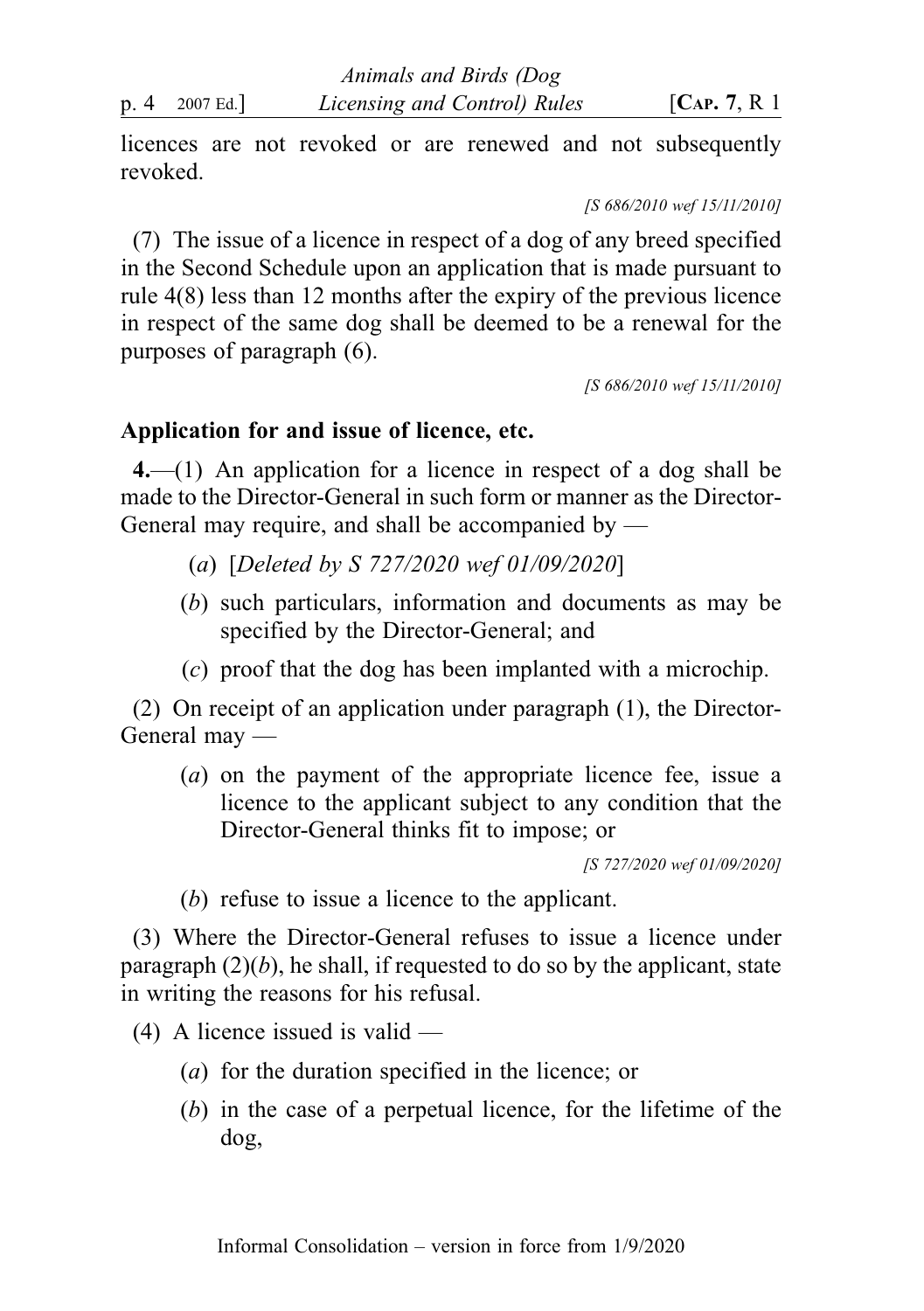licences are not revoked or are renewed and not subsequently revoked.

[S 686/2010 wef 15/11/2010]

(7) The issue of a licence in respect of a dog of any breed specified in the Second Schedule upon an application that is made pursuant to rule 4(8) less than 12 months after the expiry of the previous licence in respect of the same dog shall be deemed to be a renewal for the purposes of paragraph (6).

[S 686/2010 wef 15/11/2010]

## Application for and issue of licence, etc.

4.—(1) An application for a licence in respect of a dog shall be made to the Director-General in such form or manner as the Director-General may require, and shall be accompanied by —

- (a) [Deleted by S 727/2020 wef 01/09/2020]
- (b) such particulars, information and documents as may be specified by the Director-General; and
- (c) proof that the dog has been implanted with a microchip.

(2) On receipt of an application under paragraph (1), the Director-General may —

(a) on the payment of the appropriate licence fee, issue a licence to the applicant subject to any condition that the Director-General thinks fit to impose; or

[S 727/2020 wef 01/09/2020]

(b) refuse to issue a licence to the applicant.

(3) Where the Director-General refuses to issue a licence under paragraph  $(2)(b)$ , he shall, if requested to do so by the applicant, state in writing the reasons for his refusal.

- $(4)$  A licence issued is valid
	- (a) for the duration specified in the licence; or
	- (b) in the case of a perpetual licence, for the lifetime of the dog,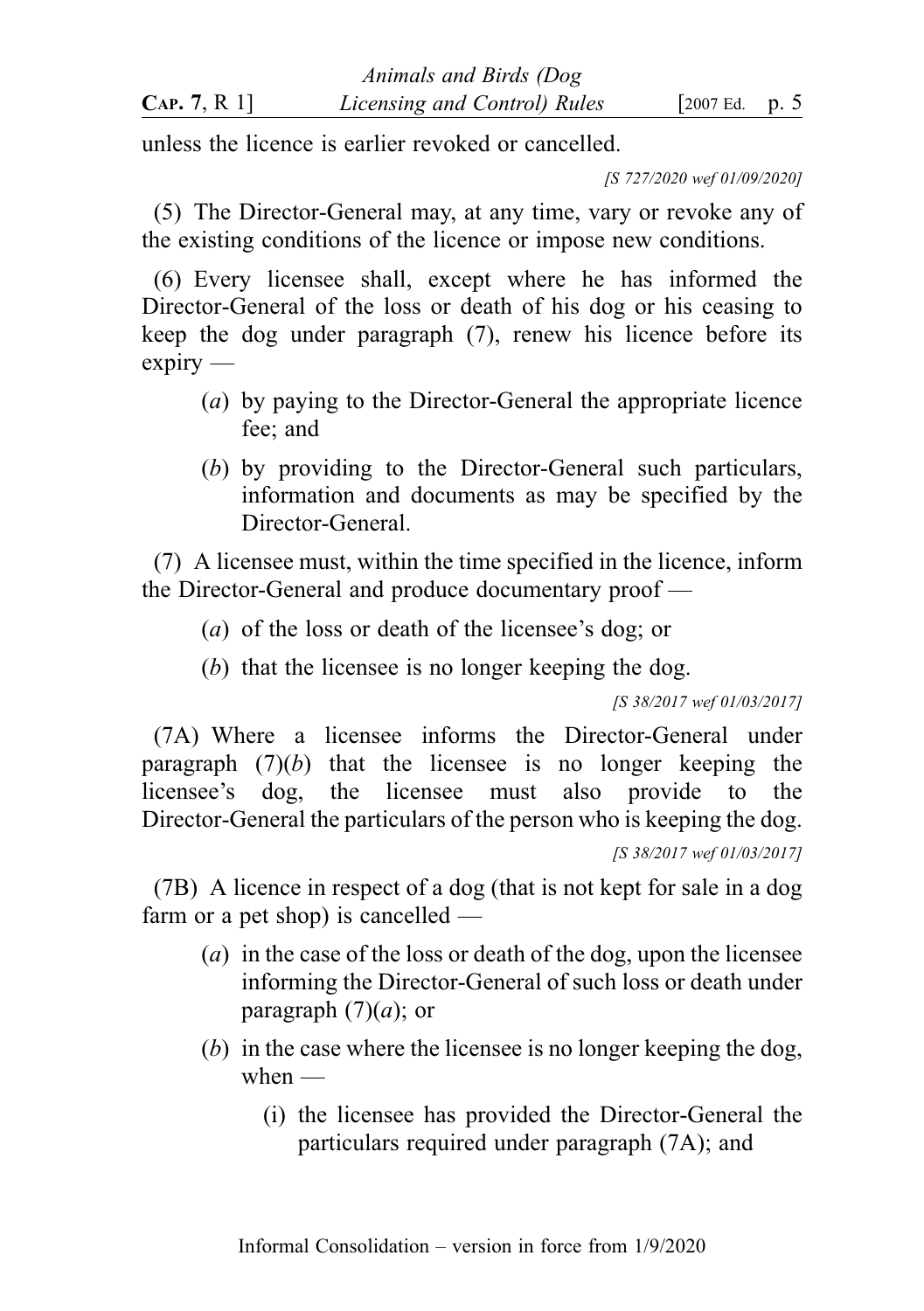unless the licence is earlier revoked or cancelled.

[S 727/2020 wef 01/09/2020]

(5) The Director-General may, at any time, vary or revoke any of the existing conditions of the licence or impose new conditions.

(6) Every licensee shall, except where he has informed the Director-General of the loss or death of his dog or his ceasing to keep the dog under paragraph (7), renew his licence before its expiry —

- (a) by paying to the Director-General the appropriate licence fee; and
- (b) by providing to the Director-General such particulars, information and documents as may be specified by the Director-General.

(7) A licensee must, within the time specified in the licence, inform the Director-General and produce documentary proof —

- (a) of the loss or death of the licensee's dog; or
- (b) that the licensee is no longer keeping the dog.

[S 38/2017 wef 01/03/2017]

(7A) Where a licensee informs the Director-General under paragraph  $(7)(b)$  that the licensee is no longer keeping the licensee's dog, the licensee must also provide to the Director-General the particulars of the person who is keeping the dog.

[S 38/2017 wef 01/03/2017]

(7B) A licence in respect of a dog (that is not kept for sale in a dog farm or a pet shop) is cancelled —

- (a) in the case of the loss or death of the dog, upon the licensee informing the Director-General of such loss or death under paragraph  $(7)(a)$ ; or
- (b) in the case where the licensee is no longer keeping the dog, when  $-$ 
	- (i) the licensee has provided the Director-General the particulars required under paragraph (7A); and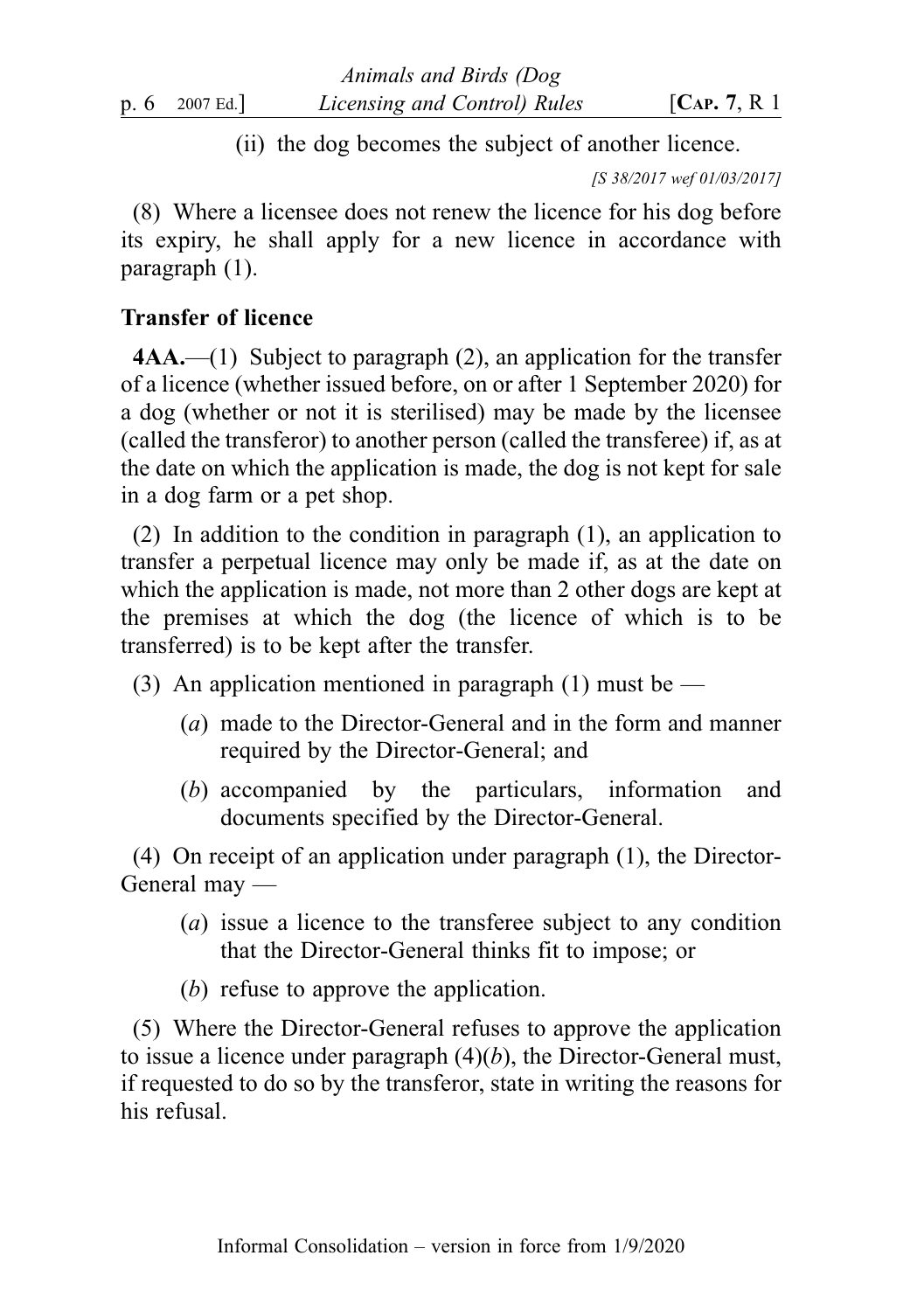(ii) the dog becomes the subject of another licence.

[S 38/2017 wef 01/03/2017]

(8) Where a licensee does not renew the licence for his dog before its expiry, he shall apply for a new licence in accordance with paragraph (1).

## Transfer of licence

4AA.—(1) Subject to paragraph (2), an application for the transfer of a licence (whether issued before, on or after 1 September 2020) for a dog (whether or not it is sterilised) may be made by the licensee (called the transferor) to another person (called the transferee) if, as at the date on which the application is made, the dog is not kept for sale in a dog farm or a pet shop.

(2) In addition to the condition in paragraph (1), an application to transfer a perpetual licence may only be made if, as at the date on which the application is made, not more than 2 other dogs are kept at the premises at which the dog (the licence of which is to be transferred) is to be kept after the transfer.

- (3) An application mentioned in paragraph (1) must be
	- (a) made to the Director-General and in the form and manner required by the Director-General; and
	- (b) accompanied by the particulars, information and documents specified by the Director-General.

(4) On receipt of an application under paragraph (1), the Director-General may —

- (a) issue a licence to the transferee subject to any condition that the Director-General thinks fit to impose; or
- (b) refuse to approve the application.

(5) Where the Director-General refuses to approve the application to issue a licence under paragraph  $(4)(b)$ , the Director-General must, if requested to do so by the transferor, state in writing the reasons for his refusal.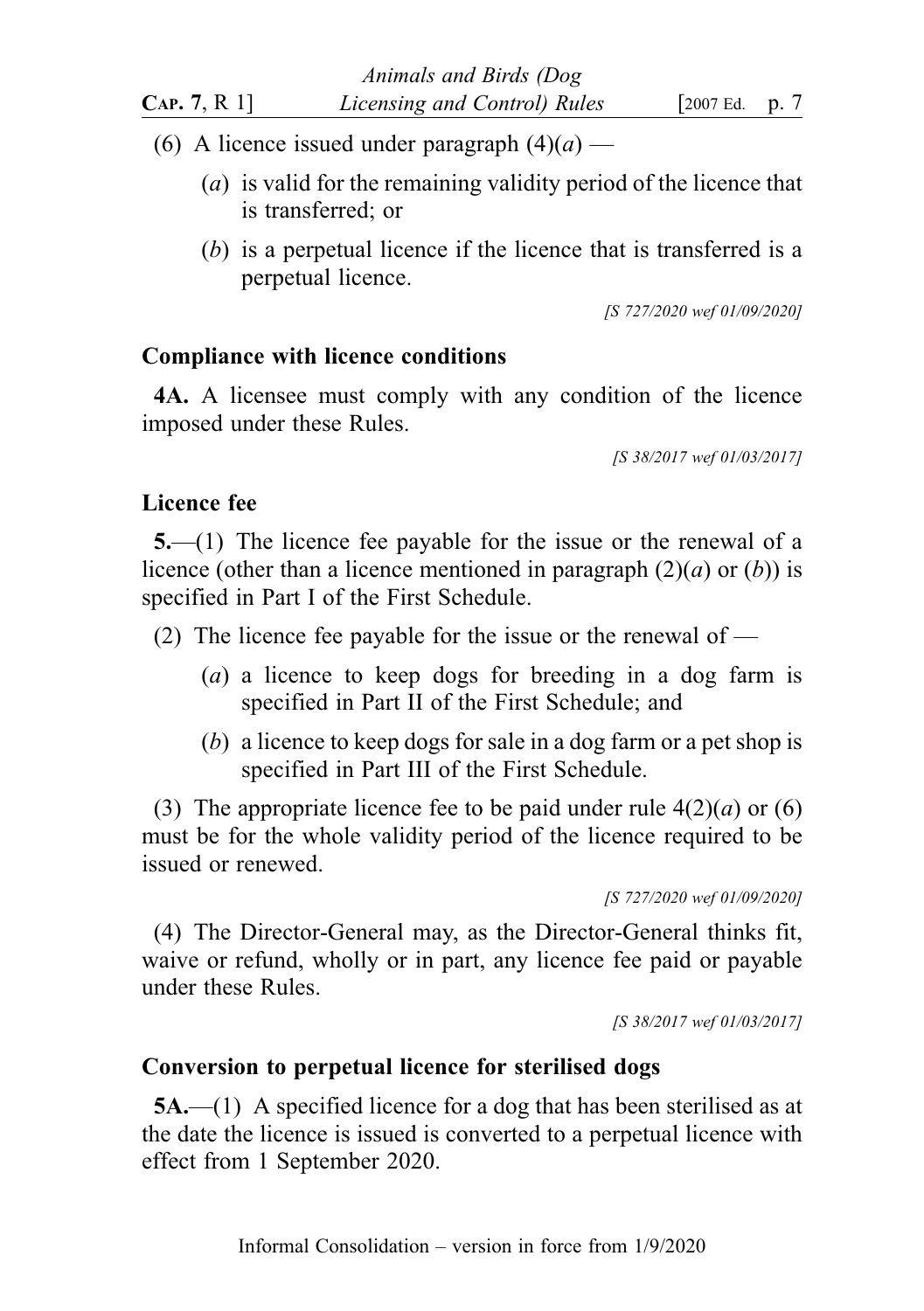- (6) A licence issued under paragraph  $(4)(a)$ 
	- (a) is valid for the remaining validity period of the licence that is transferred; or
	- (b) is a perpetual licence if the licence that is transferred is a perpetual licence.

[S 727/2020 wef 01/09/2020]

## Compliance with licence conditions

4A. A licensee must comply with any condition of the licence imposed under these Rules.

[S 38/2017 wef 01/03/2017]

## Licence fee

5.—(1) The licence fee payable for the issue or the renewal of a licence (other than a licence mentioned in paragraph  $(2)(a)$  or  $(b)$ ) is specified in Part I of the First Schedule.

- (2) The licence fee payable for the issue or the renewal of
	- (a) a licence to keep dogs for breeding in a dog farm is specified in Part II of the First Schedule; and
	- (b) a licence to keep dogs for sale in a dog farm or a pet shop is specified in Part III of the First Schedule.

(3) The appropriate licence fee to be paid under rule  $4(2)(a)$  or (6) must be for the whole validity period of the licence required to be issued or renewed.

[S 727/2020 wef 01/09/2020]

(4) The Director-General may, as the Director-General thinks fit, waive or refund, wholly or in part, any licence fee paid or payable under these Rules.

[S 38/2017 wef 01/03/2017]

### Conversion to perpetual licence for sterilised dogs

5A.—(1) A specified licence for a dog that has been sterilised as at the date the licence is issued is converted to a perpetual licence with effect from 1 September 2020.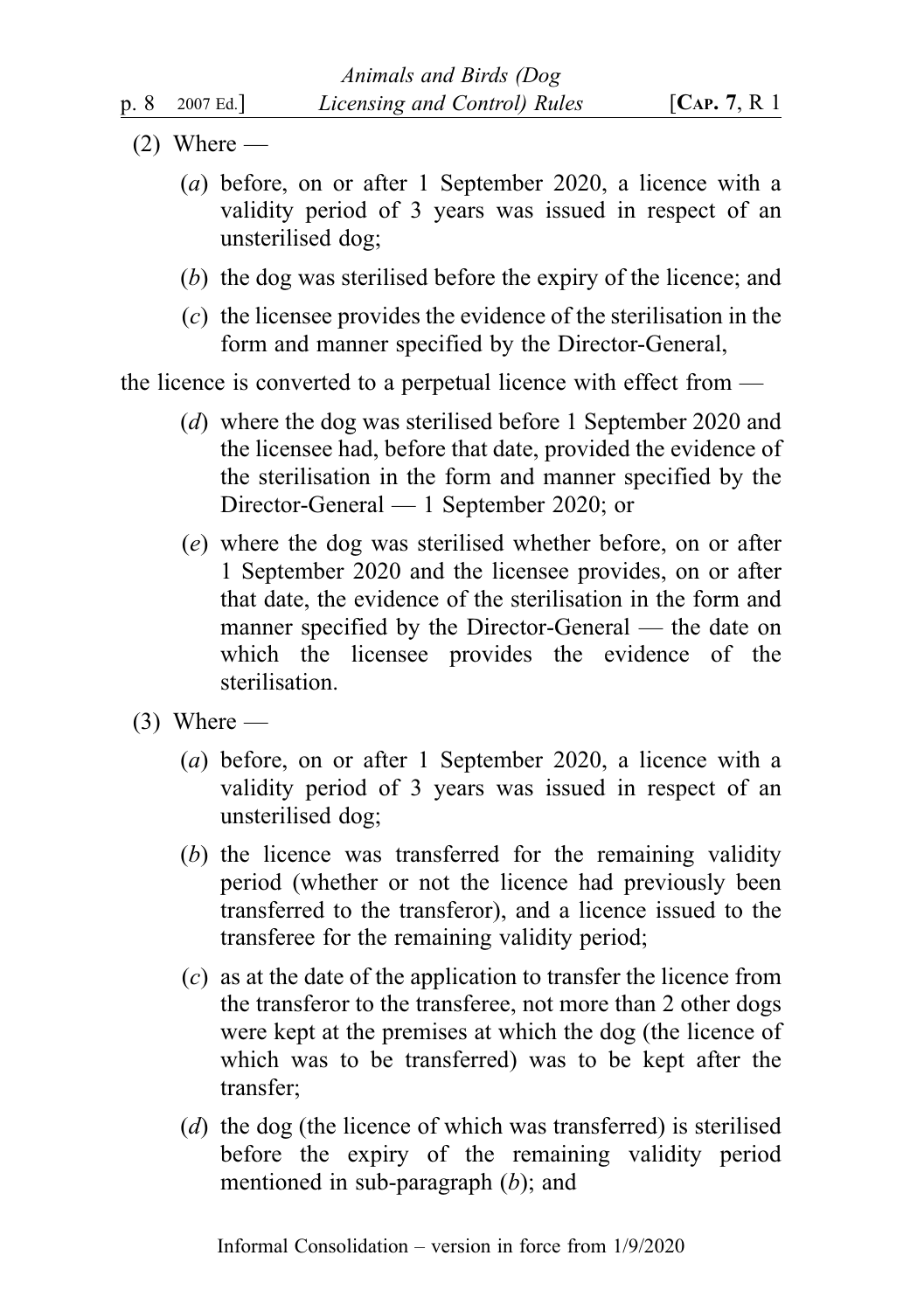- $(2)$  Where
	- (a) before, on or after 1 September 2020, a licence with a validity period of 3 years was issued in respect of an unsterilised dog;
	- (b) the dog was sterilised before the expiry of the licence; and
	- (c) the licensee provides the evidence of the sterilisation in the form and manner specified by the Director-General,

the licence is converted to a perpetual licence with effect from —

- (d) where the dog was sterilised before 1 September 2020 and the licensee had, before that date, provided the evidence of the sterilisation in the form and manner specified by the Director-General — 1 September 2020; or
- (e) where the dog was sterilised whether before, on or after 1 September 2020 and the licensee provides, on or after that date, the evidence of the sterilisation in the form and manner specified by the Director-General — the date on which the licensee provides the evidence of the sterilisation.
- $(3)$  Where
	- (a) before, on or after 1 September 2020, a licence with a validity period of 3 years was issued in respect of an unsterilised dog;
	- (b) the licence was transferred for the remaining validity period (whether or not the licence had previously been transferred to the transferor), and a licence issued to the transferee for the remaining validity period;
	- (c) as at the date of the application to transfer the licence from the transferor to the transferee, not more than 2 other dogs were kept at the premises at which the dog (the licence of which was to be transferred) was to be kept after the transfer;
	- (d) the dog (the licence of which was transferred) is sterilised before the expiry of the remaining validity period mentioned in sub-paragraph (b); and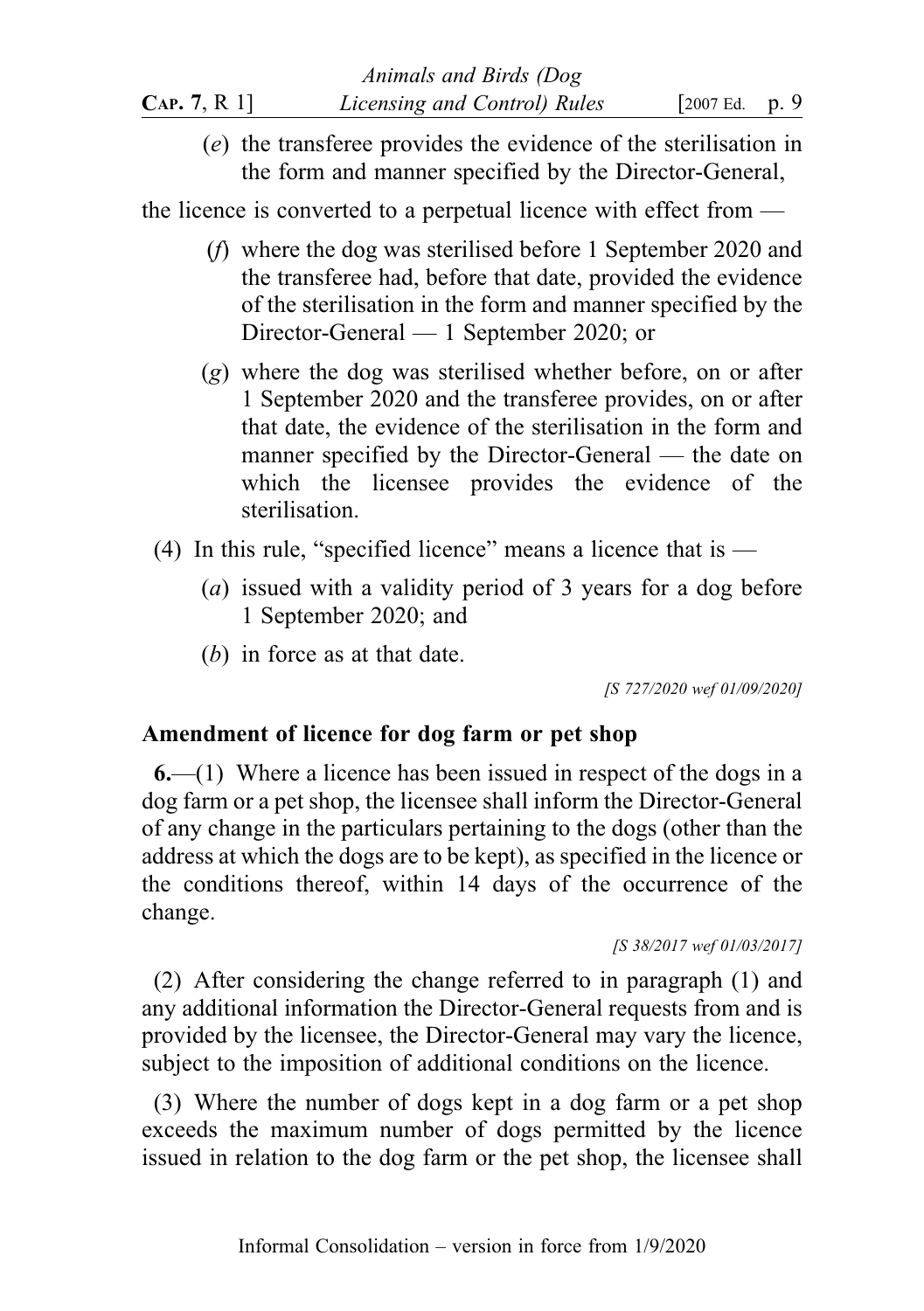(e) the transferee provides the evidence of the sterilisation in the form and manner specified by the Director-General,

the licence is converted to a perpetual licence with effect from —

- (f) where the dog was sterilised before 1 September 2020 and the transferee had, before that date, provided the evidence of the sterilisation in the form and manner specified by the Director-General — 1 September 2020; or
- (g) where the dog was sterilised whether before, on or after 1 September 2020 and the transferee provides, on or after that date, the evidence of the sterilisation in the form and manner specified by the Director-General — the date on which the licensee provides the evidence of the sterilisation.
- (4) In this rule, "specified licence" means a licence that is  $-$ 
	- (a) issued with a validity period of 3 years for a dog before 1 September 2020; and
	- (b) in force as at that date.

[S 727/2020 wef 01/09/2020]

## Amendment of licence for dog farm or pet shop

6.—(1) Where a licence has been issued in respect of the dogs in a dog farm or a pet shop, the licensee shall inform the Director-General of any change in the particulars pertaining to the dogs (other than the address at which the dogs are to be kept), as specified in the licence or the conditions thereof, within 14 days of the occurrence of the change.

```
[S 38/2017 wef 01/03/2017]
```
(2) After considering the change referred to in paragraph (1) and any additional information the Director-General requests from and is provided by the licensee, the Director-General may vary the licence, subject to the imposition of additional conditions on the licence.

(3) Where the number of dogs kept in a dog farm or a pet shop exceeds the maximum number of dogs permitted by the licence issued in relation to the dog farm or the pet shop, the licensee shall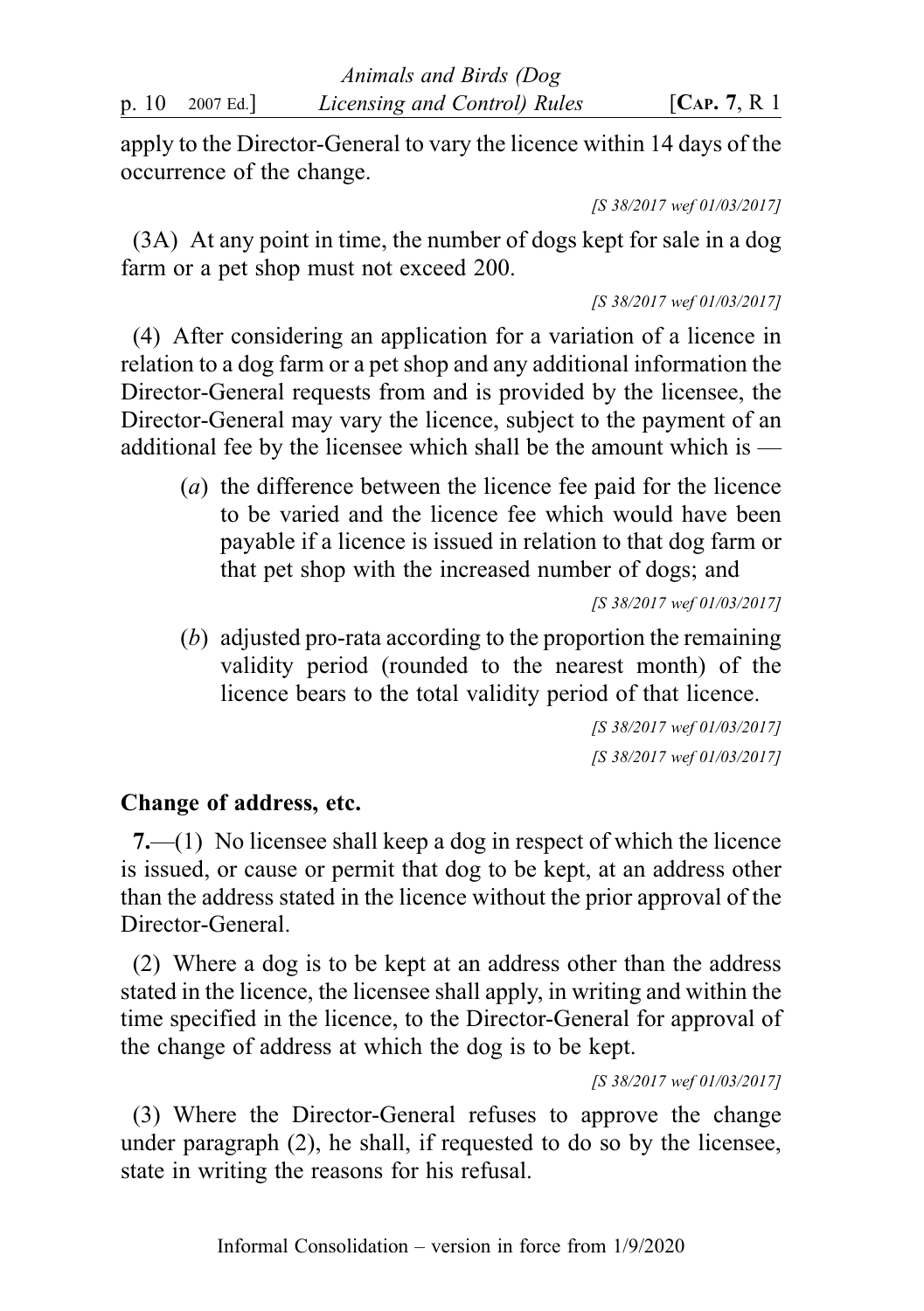apply to the Director-General to vary the licence within 14 days of the occurrence of the change.

[S 38/2017 wef 01/03/2017]

(3A) At any point in time, the number of dogs kept for sale in a dog farm or a pet shop must not exceed 200.

[S 38/2017 wef 01/03/2017]

(4) After considering an application for a variation of a licence in relation to a dog farm or a pet shop and any additional information the Director-General requests from and is provided by the licensee, the Director-General may vary the licence, subject to the payment of an additional fee by the licensee which shall be the amount which is —

(a) the difference between the licence fee paid for the licence to be varied and the licence fee which would have been payable if a licence is issued in relation to that dog farm or that pet shop with the increased number of dogs; and

[S 38/2017 wef 01/03/2017]

(b) adjusted pro-rata according to the proportion the remaining validity period (rounded to the nearest month) of the licence bears to the total validity period of that licence.

> [S 38/2017 wef 01/03/2017] [S 38/2017 wef 01/03/2017]

## Change of address, etc.

7.—(1) No licensee shall keep a dog in respect of which the licence is issued, or cause or permit that dog to be kept, at an address other than the address stated in the licence without the prior approval of the Director-General.

(2) Where a dog is to be kept at an address other than the address stated in the licence, the licensee shall apply, in writing and within the time specified in the licence, to the Director-General for approval of the change of address at which the dog is to be kept.

[S 38/2017 wef 01/03/2017]

(3) Where the Director-General refuses to approve the change under paragraph (2), he shall, if requested to do so by the licensee, state in writing the reasons for his refusal.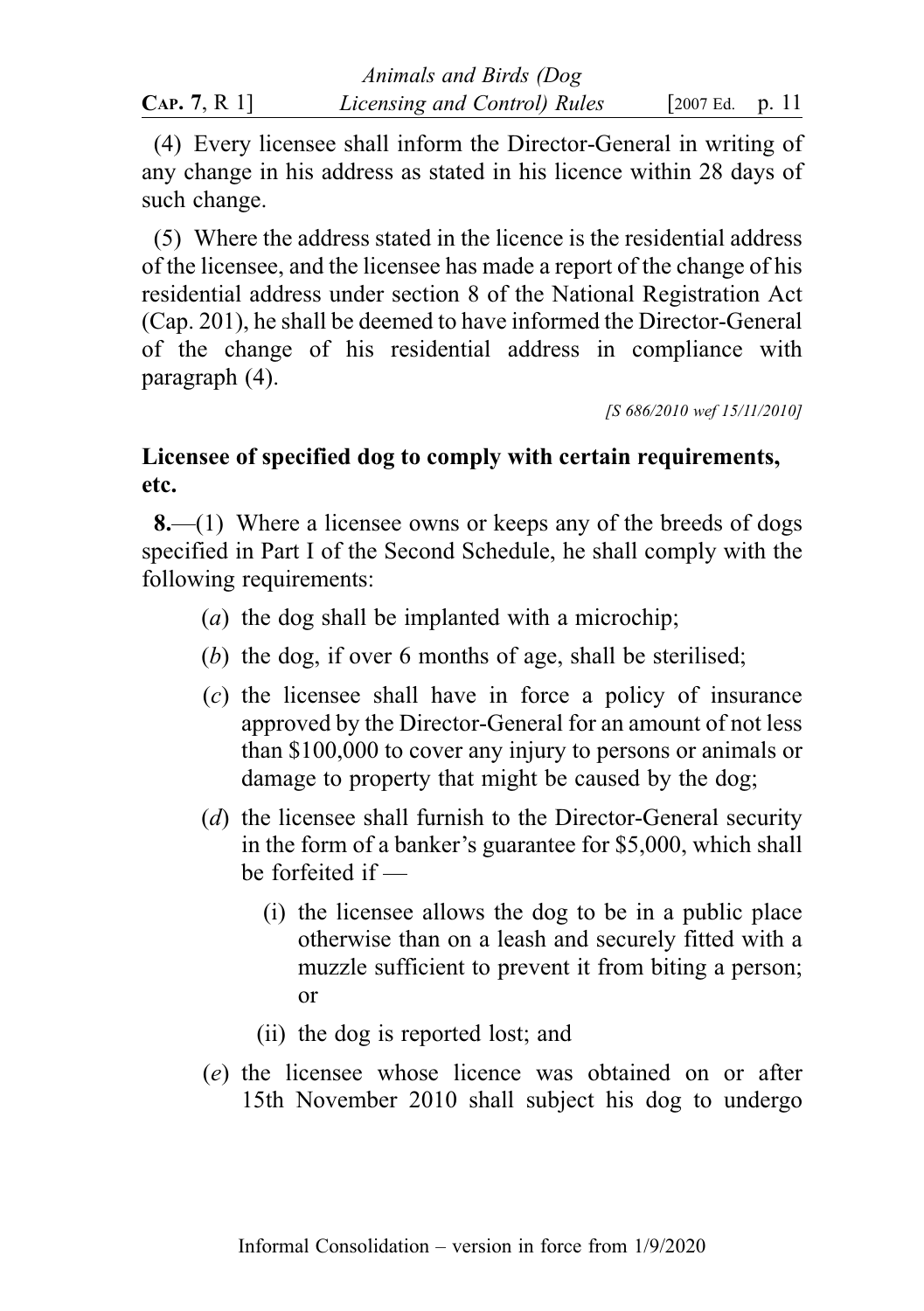| CAP. 7, R 1] | Licensing and Control) Rules | [2007 Ed. p. 11] |  |
|--------------|------------------------------|------------------|--|

(4) Every licensee shall inform the Director-General in writing of any change in his address as stated in his licence within 28 days of such change.

(5) Where the address stated in the licence is the residential address of the licensee, and the licensee has made a report of the change of his residential address under section 8 of the National Registration Act (Cap. 201), he shall be deemed to have informed the Director-General of the change of his residential address in compliance with paragraph (4).

[S 686/2010 wef 15/11/2010]

## Licensee of specified dog to comply with certain requirements, etc.

8.—(1) Where a licensee owns or keeps any of the breeds of dogs specified in Part I of the Second Schedule, he shall comply with the following requirements:

- (a) the dog shall be implanted with a microchip;
- (b) the dog, if over 6 months of age, shall be sterilised;
- (c) the licensee shall have in force a policy of insurance approved by the Director-General for an amount of not less than \$100,000 to cover any injury to persons or animals or damage to property that might be caused by the dog;
- (d) the licensee shall furnish to the Director-General security in the form of a banker's guarantee for \$5,000, which shall be forfeited if —
	- (i) the licensee allows the dog to be in a public place otherwise than on a leash and securely fitted with a muzzle sufficient to prevent it from biting a person; or
	- (ii) the dog is reported lost; and
- (e) the licensee whose licence was obtained on or after 15th November 2010 shall subject his dog to undergo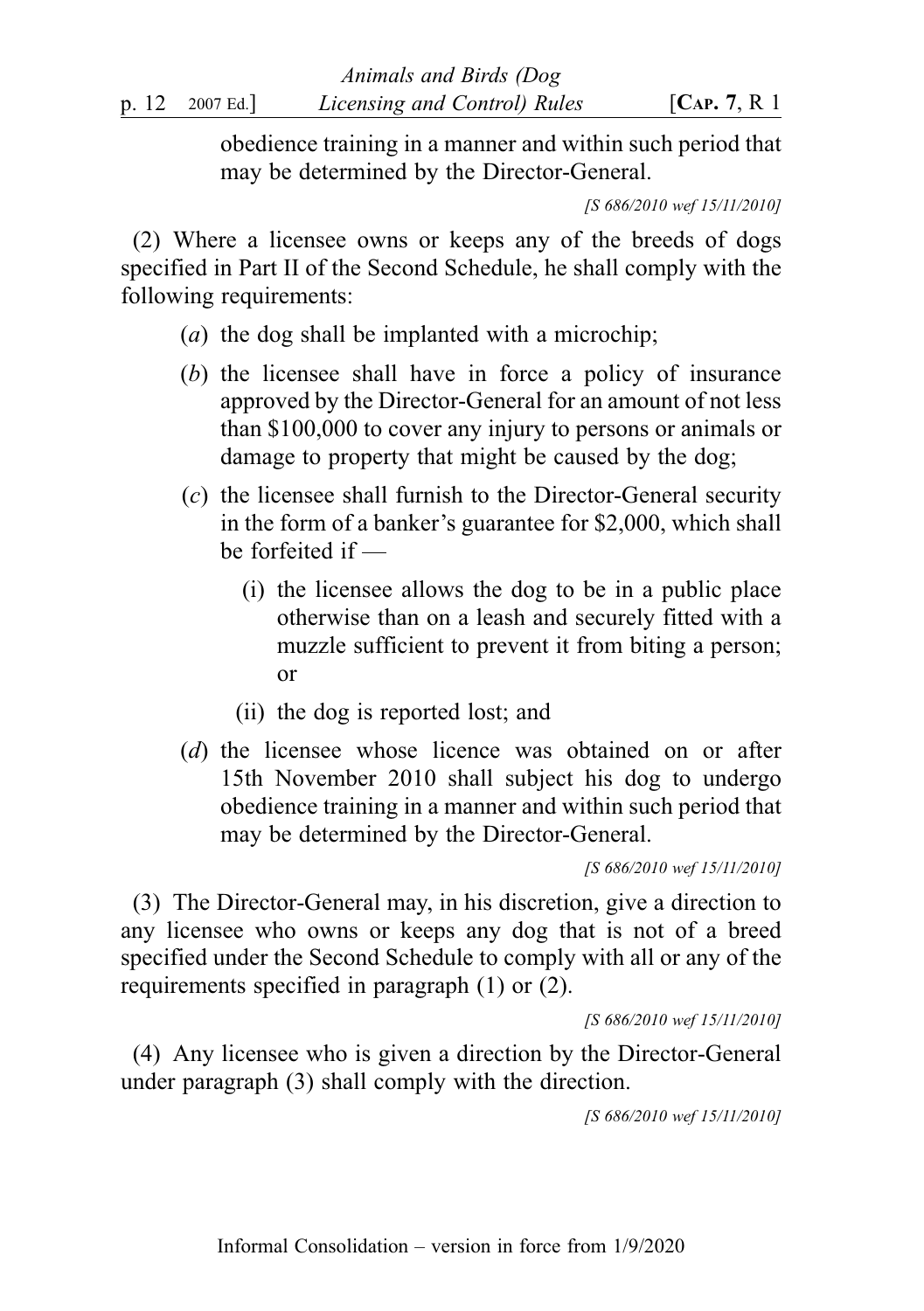obedience training in a manner and within such period that may be determined by the Director-General.

[S 686/2010 wef 15/11/2010]

(2) Where a licensee owns or keeps any of the breeds of dogs specified in Part II of the Second Schedule, he shall comply with the following requirements:

- (a) the dog shall be implanted with a microchip;
- (b) the licensee shall have in force a policy of insurance approved by the Director-General for an amount of not less than \$100,000 to cover any injury to persons or animals or damage to property that might be caused by the dog;
- (c) the licensee shall furnish to the Director-General security in the form of a banker's guarantee for \$2,000, which shall be forfeited if —
	- (i) the licensee allows the dog to be in a public place otherwise than on a leash and securely fitted with a muzzle sufficient to prevent it from biting a person; or
	- (ii) the dog is reported lost; and
- (d) the licensee whose licence was obtained on or after 15th November 2010 shall subject his dog to undergo obedience training in a manner and within such period that may be determined by the Director-General.

[S 686/2010 wef 15/11/2010]

(3) The Director-General may, in his discretion, give a direction to any licensee who owns or keeps any dog that is not of a breed specified under the Second Schedule to comply with all or any of the requirements specified in paragraph (1) or (2).

[S 686/2010 wef 15/11/2010]

(4) Any licensee who is given a direction by the Director-General under paragraph (3) shall comply with the direction.

[S 686/2010 wef 15/11/2010]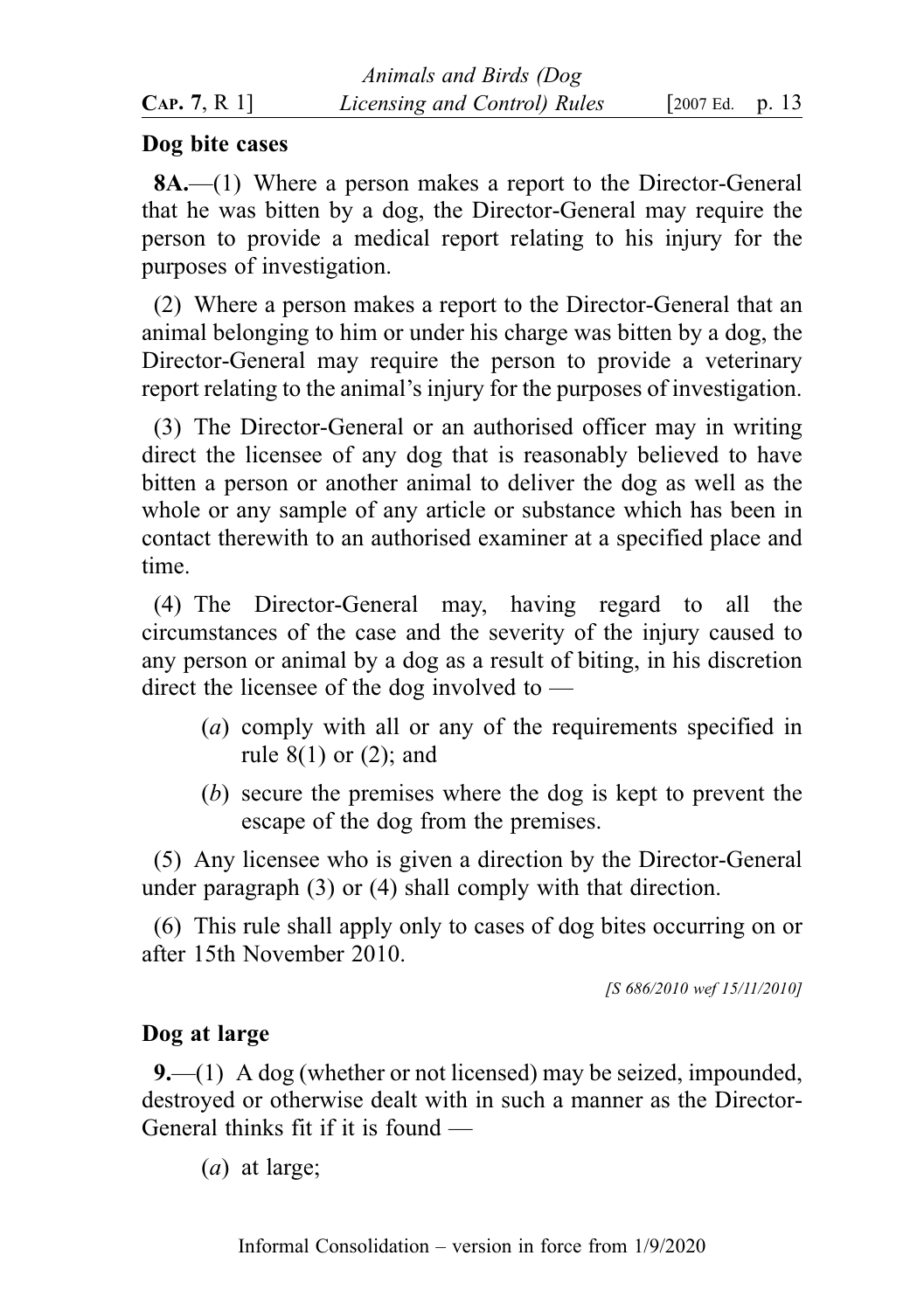|              | Animals and Birds (Dog       |                     |  |  |
|--------------|------------------------------|---------------------|--|--|
| CAP. 7, R 1] | Licensing and Control) Rules | [ $2007$ Ed. p. 13] |  |  |

#### Dog bite cases

8A.—(1) Where a person makes a report to the Director-General that he was bitten by a dog, the Director-General may require the person to provide a medical report relating to his injury for the purposes of investigation.

(2) Where a person makes a report to the Director-General that an animal belonging to him or under his charge was bitten by a dog, the Director-General may require the person to provide a veterinary report relating to the animal's injury for the purposes of investigation.

(3) The Director-General or an authorised officer may in writing direct the licensee of any dog that is reasonably believed to have bitten a person or another animal to deliver the dog as well as the whole or any sample of any article or substance which has been in contact therewith to an authorised examiner at a specified place and time.

(4) The Director-General may, having regard to all the circumstances of the case and the severity of the injury caused to any person or animal by a dog as a result of biting, in his discretion direct the licensee of the dog involved to —

- (a) comply with all or any of the requirements specified in rule 8(1) or (2); and
- (b) secure the premises where the dog is kept to prevent the escape of the dog from the premises.

(5) Any licensee who is given a direction by the Director-General under paragraph (3) or (4) shall comply with that direction.

(6) This rule shall apply only to cases of dog bites occurring on or after 15th November 2010.

[S 686/2010 wef 15/11/2010]

### Dog at large

9.—(1) A dog (whether or not licensed) may be seized, impounded, destroyed or otherwise dealt with in such a manner as the Director-General thinks fit if it is found —

(a) at large;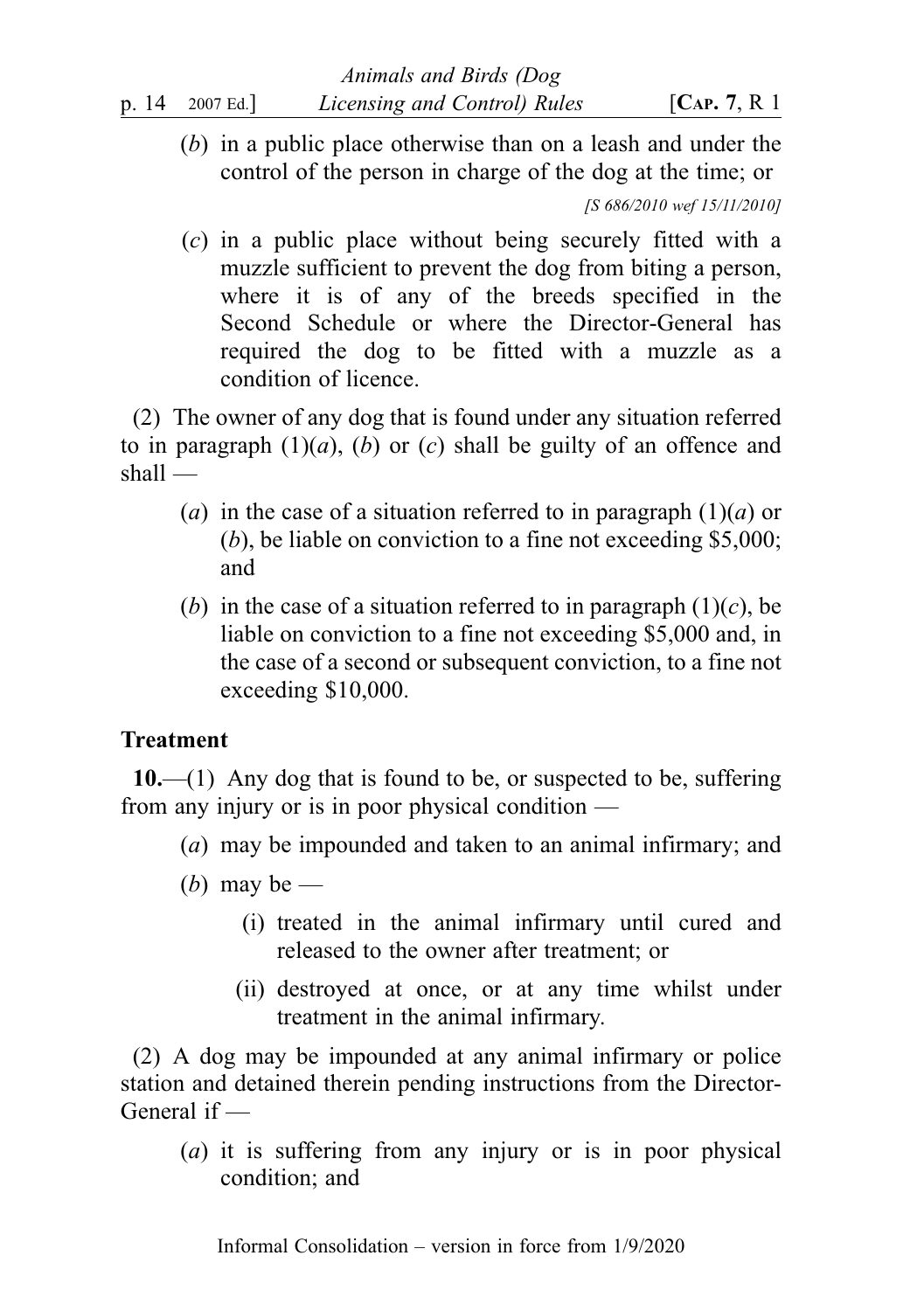(b) in a public place otherwise than on a leash and under the control of the person in charge of the dog at the time; or

[S 686/2010 wef 15/11/2010]

(c) in a public place without being securely fitted with a muzzle sufficient to prevent the dog from biting a person, where it is of any of the breeds specified in the Second Schedule or where the Director-General has required the dog to be fitted with a muzzle as a condition of licence.

(2) The owner of any dog that is found under any situation referred to in paragraph  $(1)(a)$ ,  $(b)$  or  $(c)$  shall be guilty of an offence and shall —

- (a) in the case of a situation referred to in paragraph  $(1)(a)$  or (b), be liable on conviction to a fine not exceeding \$5,000; and
- (b) in the case of a situation referred to in paragraph  $(1)(c)$ , be liable on conviction to a fine not exceeding \$5,000 and, in the case of a second or subsequent conviction, to a fine not exceeding \$10,000.

## Treatment

 $10$ .—(1) Any dog that is found to be, or suspected to be, suffering from any injury or is in poor physical condition —

- (a) may be impounded and taken to an animal infirmary; and
- (*b*) may be
	- (i) treated in the animal infirmary until cured and released to the owner after treatment; or
	- (ii) destroyed at once, or at any time whilst under treatment in the animal infirmary.

(2) A dog may be impounded at any animal infirmary or police station and detained therein pending instructions from the Director-General if —

(a) it is suffering from any injury or is in poor physical condition; and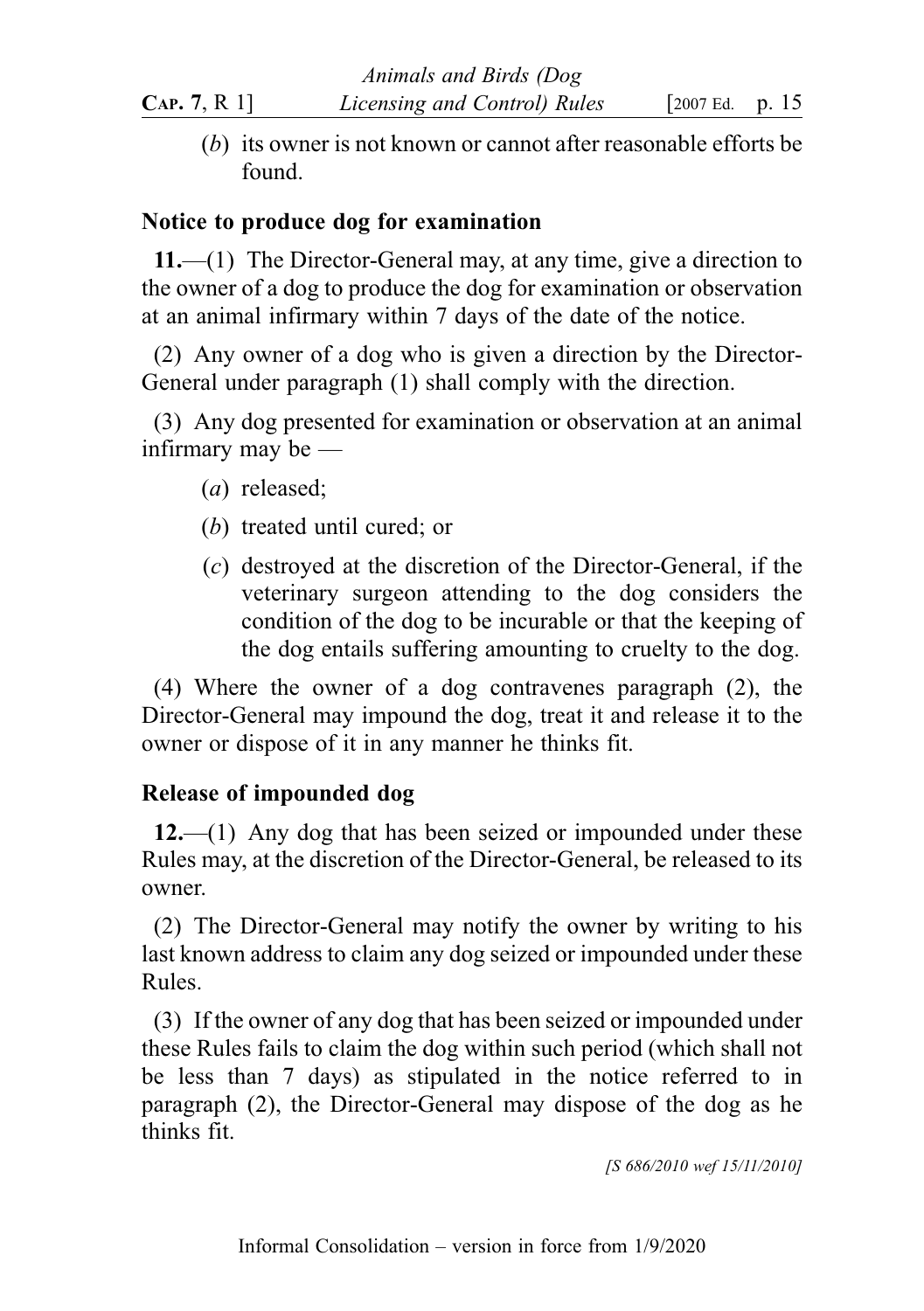(b) its owner is not known or cannot after reasonable efforts be found.

### Notice to produce dog for examination

11.—(1) The Director-General may, at any time, give a direction to the owner of a dog to produce the dog for examination or observation at an animal infirmary within 7 days of the date of the notice.

(2) Any owner of a dog who is given a direction by the Director-General under paragraph (1) shall comply with the direction.

(3) Any dog presented for examination or observation at an animal infirmary may be —

- (a) released;
- (b) treated until cured; or
- (c) destroyed at the discretion of the Director-General, if the veterinary surgeon attending to the dog considers the condition of the dog to be incurable or that the keeping of the dog entails suffering amounting to cruelty to the dog.

(4) Where the owner of a dog contravenes paragraph (2), the Director-General may impound the dog, treat it and release it to the owner or dispose of it in any manner he thinks fit.

## Release of impounded dog

 $12.$ —(1) Any dog that has been seized or impounded under these Rules may, at the discretion of the Director-General, be released to its owner.

(2) The Director-General may notify the owner by writing to his last known address to claim any dog seized or impounded under these Rules.

(3) If the owner of any dog that has been seized or impounded under these Rules fails to claim the dog within such period (which shall not be less than 7 days) as stipulated in the notice referred to in paragraph (2), the Director-General may dispose of the dog as he thinks fit.

[S 686/2010 wef 15/11/2010]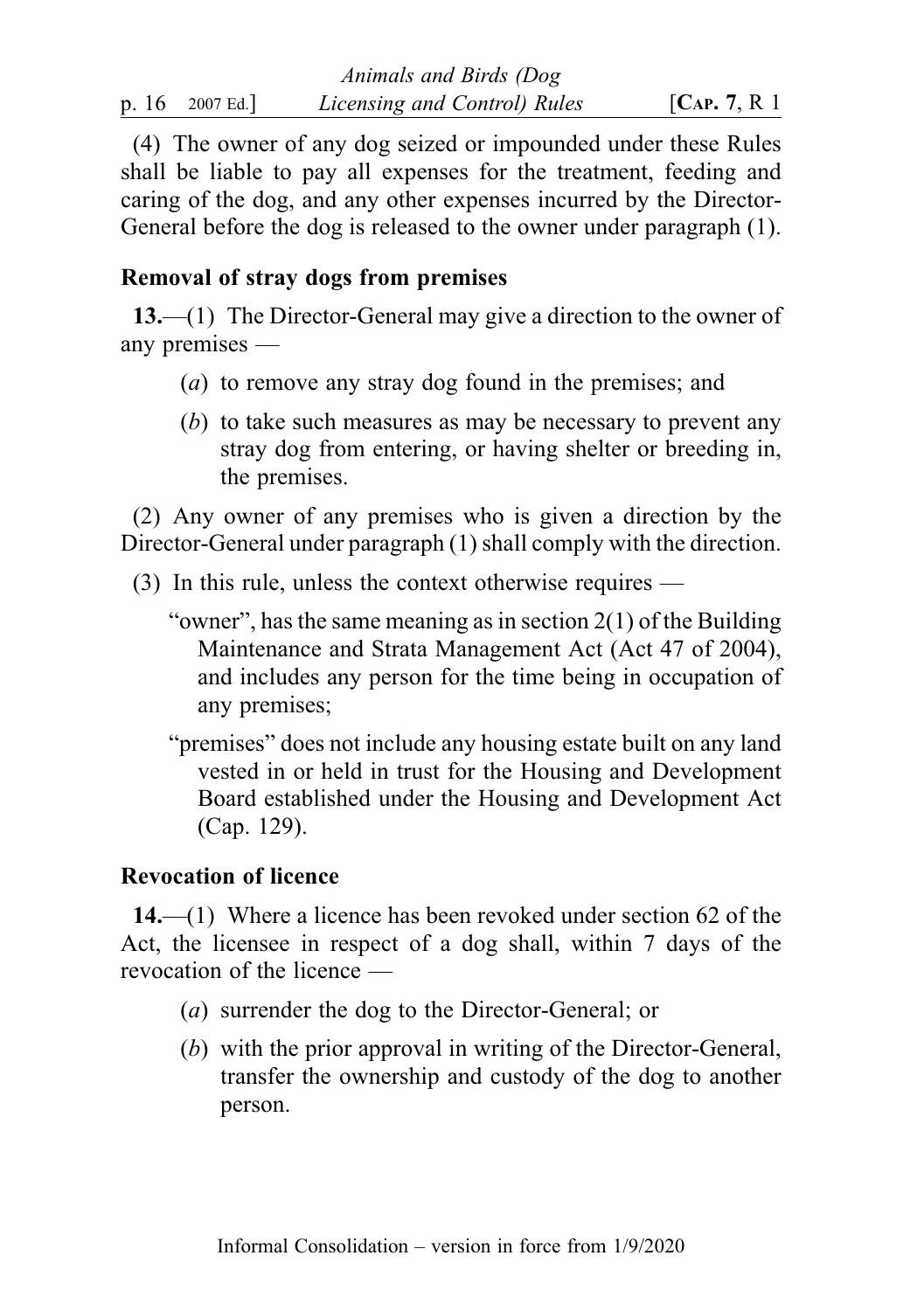(4) The owner of any dog seized or impounded under these Rules shall be liable to pay all expenses for the treatment, feeding and caring of the dog, and any other expenses incurred by the Director-General before the dog is released to the owner under paragraph (1).

## Removal of stray dogs from premises

13.—(1) The Director-General may give a direction to the owner of any premises —

- (a) to remove any stray dog found in the premises; and
- (b) to take such measures as may be necessary to prevent any stray dog from entering, or having shelter or breeding in, the premises.

(2) Any owner of any premises who is given a direction by the Director-General under paragraph (1) shall comply with the direction.

- (3) In this rule, unless the context otherwise requires
	- "owner", has the same meaning as in section 2(1) of the Building Maintenance and Strata Management Act (Act 47 of 2004), and includes any person for the time being in occupation of any premises;
	- "premises" does not include any housing estate built on any land vested in or held in trust for the Housing and Development Board established under the Housing and Development Act (Cap. 129).

# Revocation of licence

14.—(1) Where a licence has been revoked under section 62 of the Act, the licensee in respect of a dog shall, within 7 days of the revocation of the licence —

- (a) surrender the dog to the Director-General; or
- (b) with the prior approval in writing of the Director-General, transfer the ownership and custody of the dog to another person.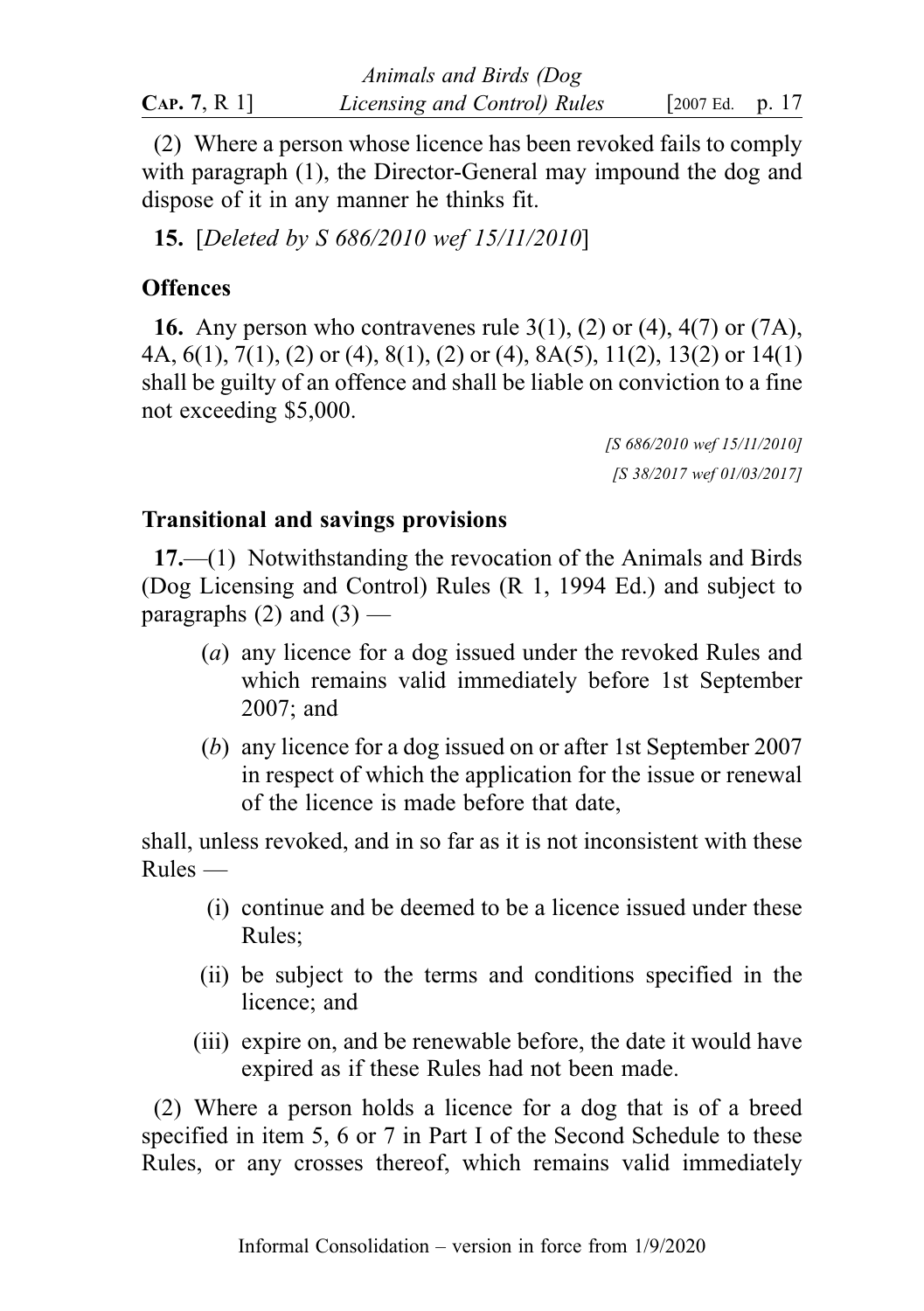|              | Animals and Birds (Dog       |                     |  |
|--------------|------------------------------|---------------------|--|
| CAP. 7, R 1] | Licensing and Control) Rules | [ $2007$ Ed. p. 17] |  |

(2) Where a person whose licence has been revoked fails to comply with paragraph (1), the Director-General may impound the dog and dispose of it in any manner he thinks fit.

15. [Deleted by S 686/2010 wef 15/11/2010]

### **Offences**

**16.** Any person who contravenes rule  $3(1)$ ,  $(2)$  or  $(4)$ ,  $4(7)$  or  $(7A)$ , 4A, 6(1), 7(1), (2) or (4), 8(1), (2) or (4), 8A(5), 11(2), 13(2) or 14(1) shall be guilty of an offence and shall be liable on conviction to a fine not exceeding \$5,000.

> [S 686/2010 wef 15/11/2010] [S 38/2017 wef 01/03/2017]

### Transitional and savings provisions

17.—(1) Notwithstanding the revocation of the Animals and Birds (Dog Licensing and Control) Rules (R 1, 1994 Ed.) and subject to paragraphs  $(2)$  and  $(3)$  —

- (a) any licence for a dog issued under the revoked Rules and which remains valid immediately before 1st September 2007; and
- (b) any licence for a dog issued on or after 1st September 2007 in respect of which the application for the issue or renewal of the licence is made before that date,

shall, unless revoked, and in so far as it is not inconsistent with these  $Rules$  —

- (i) continue and be deemed to be a licence issued under these Rules;
- (ii) be subject to the terms and conditions specified in the licence; and
- (iii) expire on, and be renewable before, the date it would have expired as if these Rules had not been made.

(2) Where a person holds a licence for a dog that is of a breed specified in item 5, 6 or 7 in Part I of the Second Schedule to these Rules, or any crosses thereof, which remains valid immediately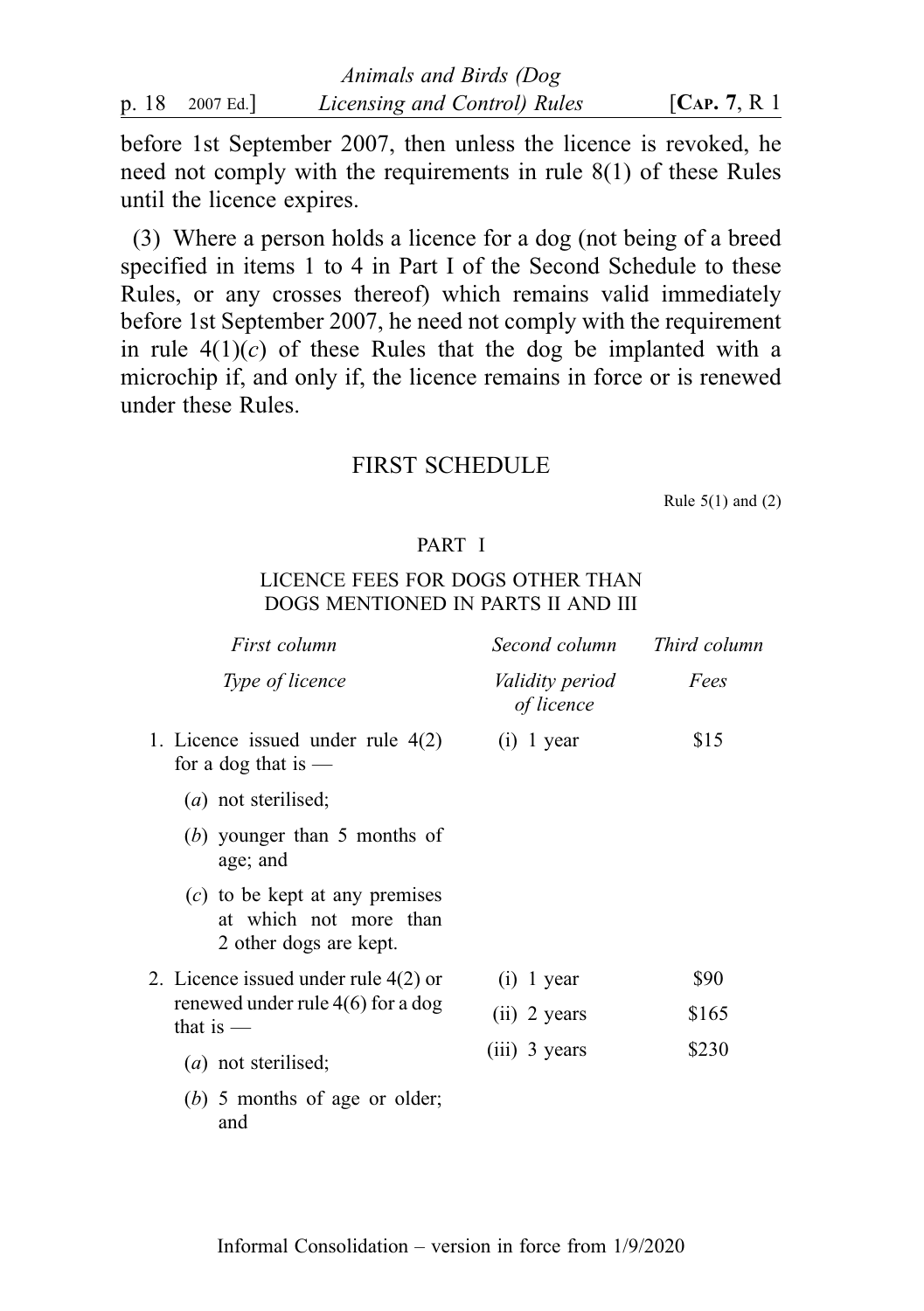|                 | Animals and Birds (Dog       |                  |
|-----------------|------------------------------|------------------|
| p. 18 2007 Ed.] | Licensing and Control) Rules | [ $CAP. 7, R1$ ] |

before 1st September 2007, then unless the licence is revoked, he need not comply with the requirements in rule 8(1) of these Rules until the licence expires.

(3) Where a person holds a licence for a dog (not being of a breed specified in items 1 to 4 in Part I of the Second Schedule to these Rules, or any crosses thereof) which remains valid immediately before 1st September 2007, he need not comply with the requirement in rule  $4(1)(c)$  of these Rules that the dog be implanted with a microchip if, and only if, the licence remains in force or is renewed under these Rules.

#### FIRST SCHEDULE

Rule  $5(1)$  and  $(2)$ 

#### PART I

#### LICENCE FEES FOR DOGS OTHER THAN DOGS MENTIONED IN PARTS II AND III

|  | First column                                                                         | Second column                        | Third column |
|--|--------------------------------------------------------------------------------------|--------------------------------------|--------------|
|  | Type of licence                                                                      | <i>Validity period</i><br>of licence | Fees         |
|  | 1. Licence issued under rule $4(2)$<br>for a dog that is $-$                         | $(i)$ 1 year                         | \$15         |
|  | $(a)$ not sterilised;                                                                |                                      |              |
|  | $(b)$ younger than 5 months of<br>age; and                                           |                                      |              |
|  | $(c)$ to be kept at any premises<br>at which not more than<br>2 other dogs are kept. |                                      |              |
|  | 2. Licence issued under rule 4(2) or                                                 | $(i)$ 1 year                         | \$90         |
|  | renewed under rule $4(6)$ for a dog<br>that is $-$                                   | $(ii)$ 2 years                       | \$165        |
|  | $(a)$ not sterilised;                                                                | $(iii)$ 3 years                      | \$230        |
|  | (b) 5 months of age or older;                                                        |                                      |              |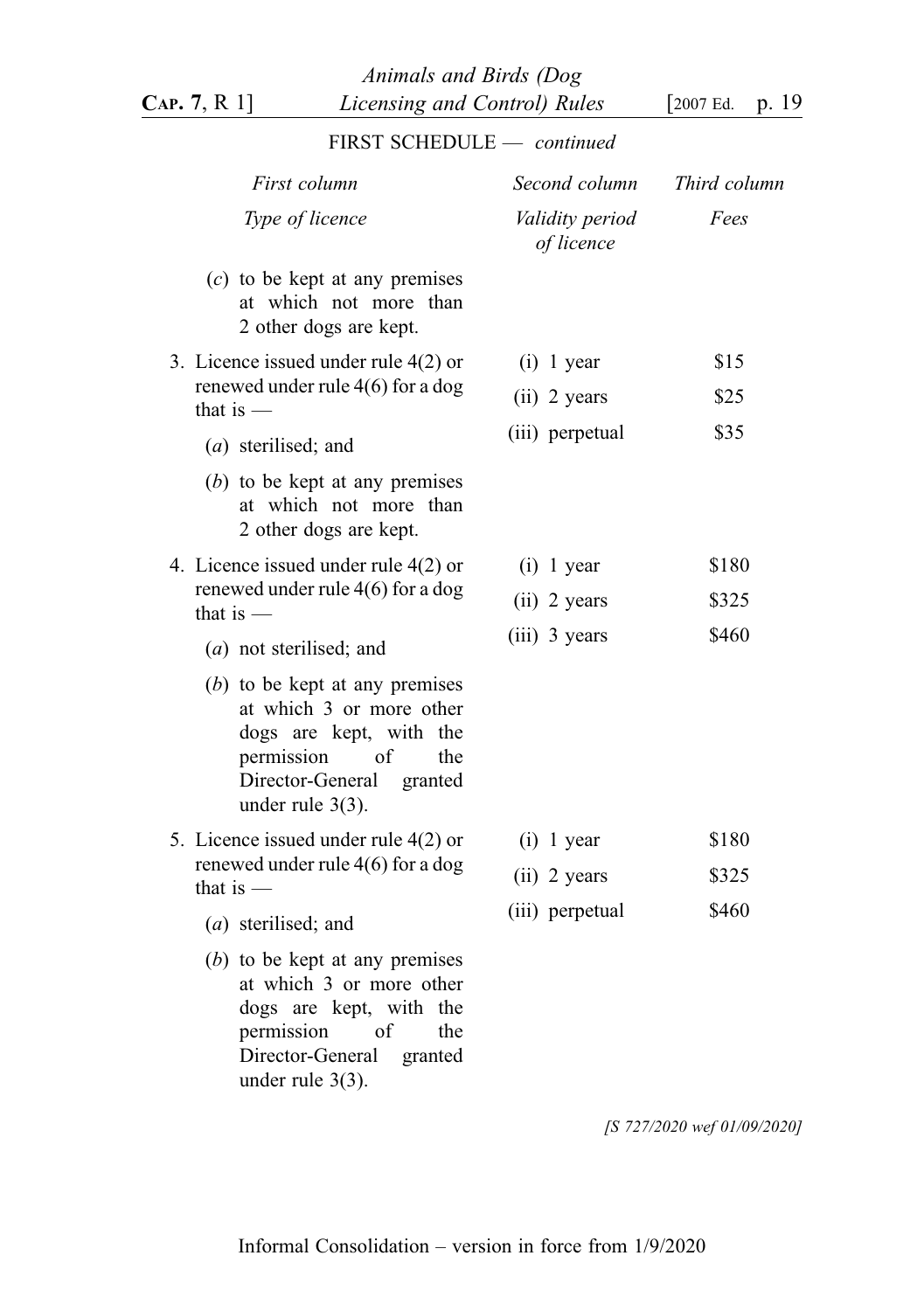| LINGT OCHEDOLE                                                                                                                                                           |                               |              |
|--------------------------------------------------------------------------------------------------------------------------------------------------------------------------|-------------------------------|--------------|
| First column                                                                                                                                                             | Second column                 | Third column |
| Type of licence                                                                                                                                                          | Validity period<br>of licence | Fees         |
| $(c)$ to be kept at any premises<br>at which not more than<br>2 other dogs are kept.                                                                                     |                               |              |
| 3. Licence issued under rule 4(2) or                                                                                                                                     | $(i)$ 1 year                  | \$15         |
| renewed under rule $4(6)$ for a dog<br>that is $-$                                                                                                                       | (ii) 2 years                  | \$25         |
| (a) sterilised; and                                                                                                                                                      | (iii) perpetual               | \$35         |
| $(b)$ to be kept at any premises<br>at which not more than<br>2 other dogs are kept.                                                                                     |                               |              |
| 4. Licence issued under rule 4(2) or                                                                                                                                     | $(i)$ 1 year                  | \$180        |
| renewed under rule $4(6)$ for a dog<br>that is $-$                                                                                                                       | $(ii)$ 2 years                | \$325        |
| (a) not sterilised; and                                                                                                                                                  | (iii) 3 years                 | \$460        |
| $(b)$ to be kept at any premises<br>at which 3 or more other<br>dogs are kept, with the<br>of<br>permission<br>the<br>Director-General<br>granted<br>under rule $3(3)$ . |                               |              |
| 5. Licence issued under rule 4(2) or                                                                                                                                     | $(i)$ 1 year                  | \$180        |
| renewed under rule $4(6)$ for a dog<br>that is $-$                                                                                                                       | (ii) 2 years                  | \$325        |
| (a) sterilised; and                                                                                                                                                      | (iii) perpetual               | \$460        |
| $(b)$ to be kept at any premises<br>at which 3 or more other<br>dogs are kept, with the<br>permission<br>of<br>the<br>Director-General<br>granted<br>under rule $3(3)$ . |                               |              |

# FIRST SCHEDULE — continued

[S 727/2020 wef 01/09/2020]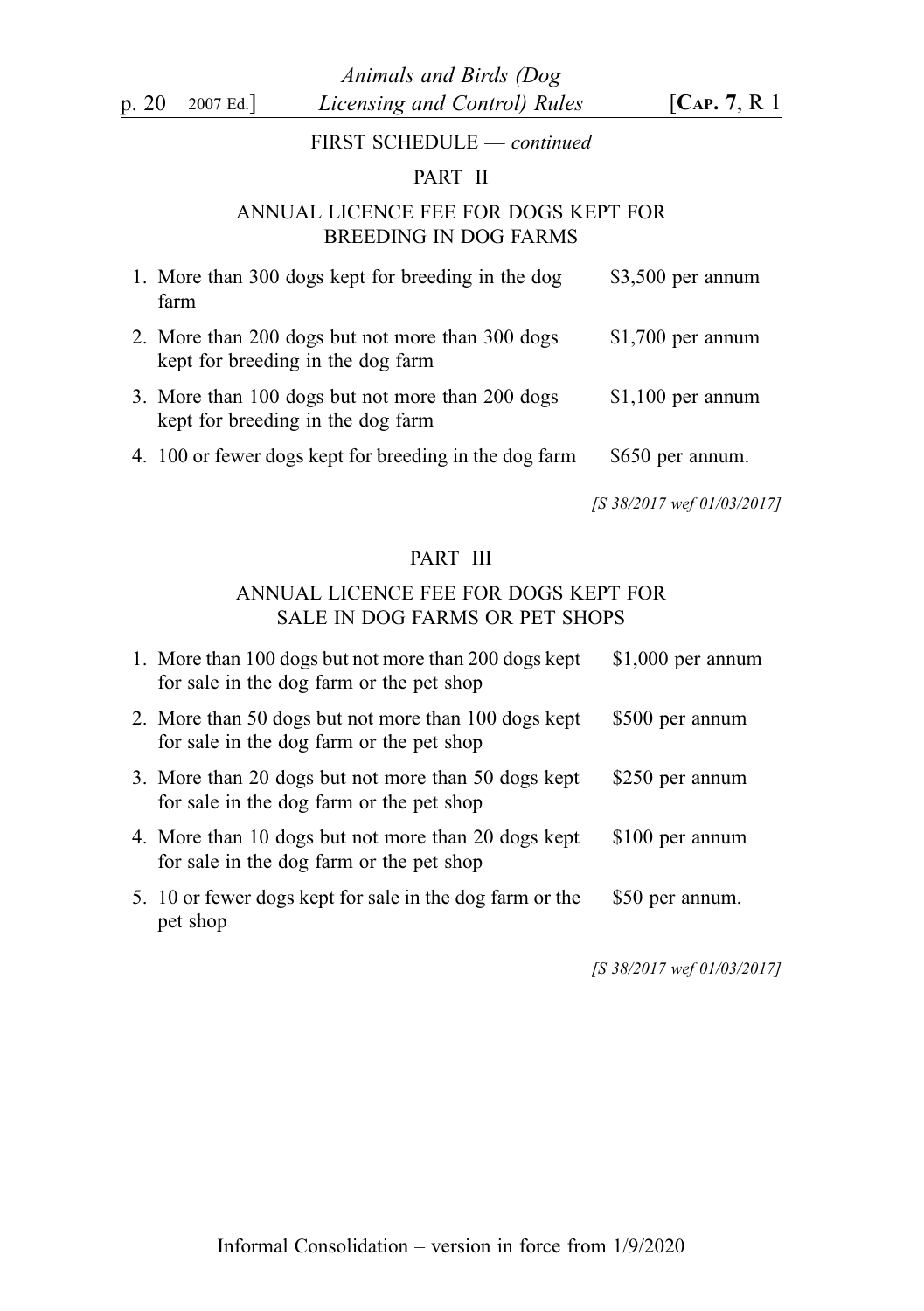#### FIRST SCHEDULE — continued

#### PART II

#### ANNUAL LICENCE FEE FOR DOGS KEPT FOR BREEDING IN DOG FARMS

| 1. More than 300 dogs kept for breeding in the dog<br>farm                            | $$3,500$ per annum |
|---------------------------------------------------------------------------------------|--------------------|
| 2. More than 200 dogs but not more than 300 dogs<br>kept for breeding in the dog farm | $$1,700$ per annum |
| 3. More than 100 dogs but not more than 200 dogs<br>kept for breeding in the dog farm | $$1,100$ per annum |
| 4. 100 or fewer dogs kept for breeding in the dog farm                                | \$650 per annum.   |

[S 38/2017 wef 01/03/2017]

#### PART III

#### ANNUAL LICENCE FEE FOR DOGS KEPT FOR SALE IN DOG FARMS OR PET SHOPS

| 1. More than 100 dogs but not more than 200 dogs kept<br>for sale in the dog farm or the pet shop | $$1,000$ per annum |
|---------------------------------------------------------------------------------------------------|--------------------|
| 2. More than 50 dogs but not more than 100 dogs kept<br>for sale in the dog farm or the pet shop  | \$500 per annum    |
| 3. More than 20 dogs but not more than 50 dogs kept<br>for sale in the dog farm or the pet shop   | \$250 per annum    |
| 4. More than 10 dogs but not more than 20 dogs kept<br>for sale in the dog farm or the pet shop   | \$100 per annum    |
| 5. 10 or fewer dogs kept for sale in the dog farm or the<br>pet shop                              | \$50 per annum.    |

[S 38/2017 wef 01/03/2017]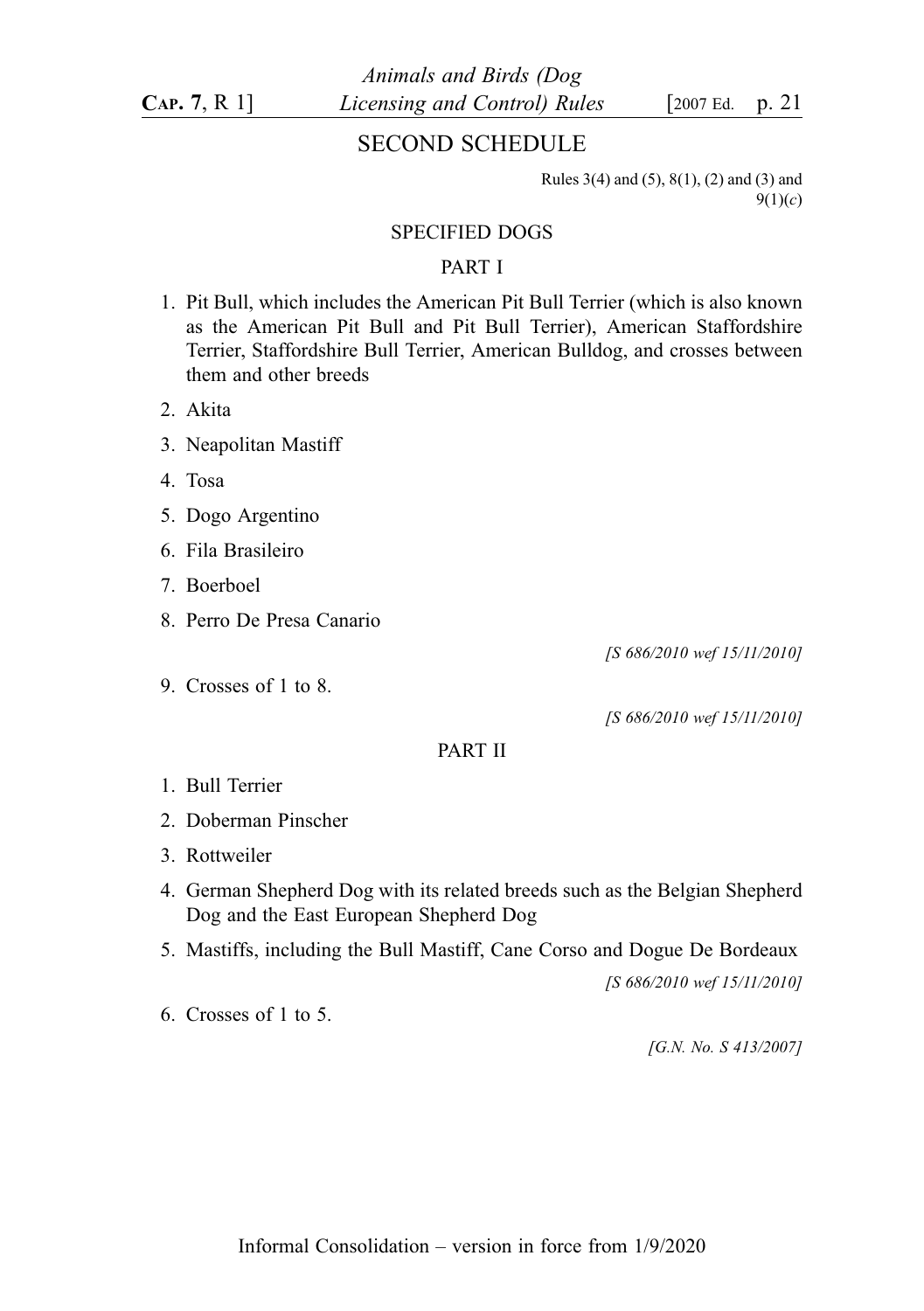### SECOND SCHEDULE

Rules 3(4) and (5), 8(1), (2) and (3) and  $9(1)(c)$ 

#### SPECIFIED DOGS

#### PART I

- 1. Pit Bull, which includes the American Pit Bull Terrier (which is also known as the American Pit Bull and Pit Bull Terrier), American Staffordshire Terrier, Staffordshire Bull Terrier, American Bulldog, and crosses between them and other breeds
- 2. Akita
- 3. Neapolitan Mastiff
- 4. Tosa
- 5. Dogo Argentino
- 6. Fila Brasileiro
- 7. Boerboel
- 8. Perro De Presa Canario
- 9. Crosses of 1 to 8.

[S 686/2010 wef 15/11/2010]

[S 686/2010 wef 15/11/2010]

#### PART II

- 1. Bull Terrier
- 2. Doberman Pinscher
- 3. Rottweiler
- 4. German Shepherd Dog with its related breeds such as the Belgian Shepherd Dog and the East European Shepherd Dog
- 5. Mastiffs, including the Bull Mastiff, Cane Corso and Dogue De Bordeaux

[S 686/2010 wef 15/11/2010]

6. Crosses of 1 to 5.

[G.N. No. S 413/2007]